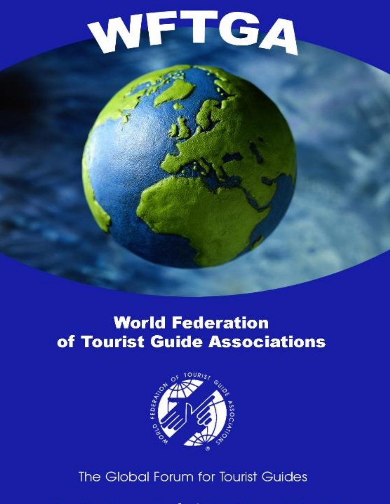# WFTGA

# **World Federation** of Tourist Guide Associations



WFTGA is an Islamic in Operational Relations with UNESCO Affiliate Member of UNESCO Affiliate Member of UNISCO Affiliate Member of UNISCO Affiliate Member of UNISCO Affiliate Member of UNISCO Affiliate Member of UNISCO Aff withe Global Forum for Tourist Guides -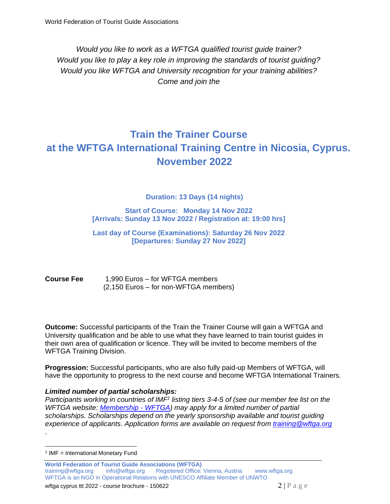*Would you like to work as a WFTGA qualified tourist guide trainer? Would you like to play a key role in improving the standards of tourist guiding? Would you like WFTGA and University recognition for your training abilities? Come and join the*

# **Train the Trainer Course at the WFTGA International Training Centre in Nicosia, Cyprus. November 2022**

**Duration: 13 Days (14 nights)**

**Start of Course: Monday 14 Nov 2022 [Arrivals: Sunday 13 Nov 2022 / Registration at: 19:00 hrs]**

**Last day of Course (Examinations): Saturday 26 Nov 2022 [Departures: Sunday 27 Nov 2022]**

#### **Course Fee** 1,990 Euros – for WFTGA members (2,150 Euros – for non-WFTGA members)

**Outcome:** Successful participants of the Train the Trainer Course will gain a WFTGA and University qualification and be able to use what they have learned to train tourist guides in their own area of qualification or licence. They will be invited to become members of the WFTGA Training Division.

**Progression:** Successful participants, who are also fully paid-up Members of WFTGA, will have the opportunity to progress to the next course and become WFTGA International Trainers.

#### *Limited number of partial scholarships:*

Participants working in countries of IMF<sup>1</sup> listing tiers 3-4-5 of (see our member fee list on the *WFTGA website: [Membership -](https://wftga.org/membership/#1526160472366-7b9daf57-8285) WFTGA) may apply for a limited number of partial scholarships. Scholarships depend on the yearly sponsorship available and tourist guiding experience of applicants. Application forms are available on request from [training@wftga.org](mailto:training@wftga.org)*

*.*

<sup>1</sup> IMF = International Monetary Fund

**World Federation of Tourist Guide Associations (WFTGA)**  training@wftga.org [info@wftga.org](mailto:info@wftga.org) Registered Office: Vienna, Austria www.wftga.org WFTGA is an NGO in Operational Relations with UNESCO Affiliate Member of UNWTO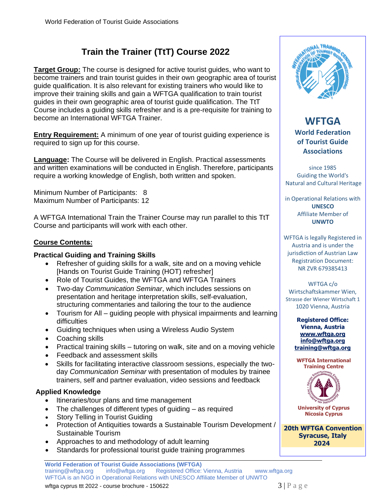## **Train the Trainer (TtT) Course 2022**

**Target Group:** The course is designed for active tourist guides, who want to become trainers and train tourist guides in their own geographic area of tourist guide qualification. It is also relevant for existing trainers who would like to improve their training skills and gain a WFTGA qualification to train tourist guides in their own geographic area of tourist guide qualification. The TtT Course includes a guiding skills refresher and is a pre-requisite for training to become an International WFTGA Trainer.

**Entry Requirement:** A minimum of one year of tourist guiding experience is required to sign up for this course.

**Language:** The Course will be delivered in English. Practical assessments and written examinations will be conducted in English. Therefore, participants require a working knowledge of English, both written and spoken.

Minimum Number of Participants: 8 Maximum Number of Participants: 12

A WFTGA International Train the Trainer Course may run parallel to this TtT Course and participants will work with each other.

#### **Course Contents:**

#### **Practical Guiding and Training Skills**

- Refresher of quiding skills for a walk, site and on a moving vehicle [Hands on Tourist Guide Training (HOT) refresher]
- Role of Tourist Guides, the WFTGA and WFTGA Trainers
- Two-day *Communication Seminar*, which includes sessions on presentation and heritage interpretation skills, self-evaluation, structuring commentaries and tailoring the tour to the audience
- Tourism for All guiding people with physical impairments and learning difficulties
- Guiding techniques when using a Wireless Audio System
- Coaching skills
- Practical training skills tutoring on walk, site and on a moving vehicle
- Feedback and assessment skills
- Skills for facilitating interactive classroom sessions, especially the twoday *Communication Seminar* with presentation of modules by trainee trainers, self and partner evaluation, video sessions and feedback

#### **Applied Knowledge**

- Itineraries/tour plans and time management
- The challenges of different types of guiding  $-$  as required
- Story Telling in Tourist Guiding
- Protection of Antiquities towards a Sustainable Tourism Development / Sustainable Tourism
- Approaches to and methodology of adult learning
- Standards for professional tourist guide training programmes



#### **WFTGA World Federation of Tourist Guide Associations**

since 1985 Guiding the World's Natural and Cultural Heritage

in Operational Relations with **UNESCO** Affiliate Member of **UNWTO**

WFTGA is legally Registered in Austria and is under the jurisdiction of Austrian Law Registration Document: NR ZVR 679385413

#### WFTGA c/o Wirtschaftskammer Wien, Strasse der Wiener Wirtschaft 1 1020 Vienna, Austria

**Registered Office: Vienna, Austria www.wftga.org [info@wftga.org](mailto:info@wftga.org) training@wftga.org**

**WFTGA International Training Centre**



**University of Cyprus Nicosia Cyprus**

**20th WFTGA Convention Syracuse, Italy 2024**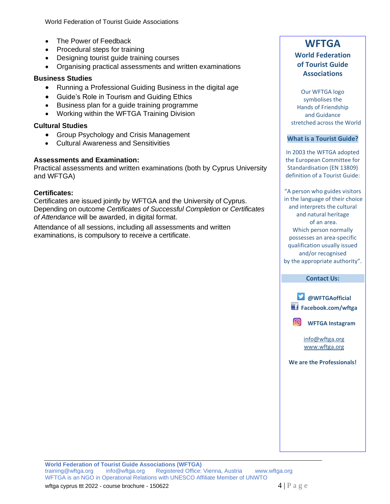- The Power of Feedback
- Procedural steps for training
- Designing tourist guide training courses
- Organising practical assessments and written examinations

#### **Business Studies**

- Running a Professional Guiding Business in the digital age
- Guide's Role in Tourism and Guiding Ethics
- Business plan for a guide training programme
- Working within the WFTGA Training Division

#### **Cultural Studies**

- Group Psychology and Crisis Management
- Cultural Awareness and Sensitivities

#### **Assessments and Examination:**

Practical assessments and written examinations (both by Cyprus University and WFTGA)

#### **Certificates:**

Certificates are issued jointly by WFTGA and the University of Cyprus. Depending on outcome *Certificates of Successful Completion* or *Certificates of Attendance* will be awarded, in digital format.

Attendance of all sessions, including all assessments and written examinations, is compulsory to receive a certificate.

#### **WFTGA World Federation of Tourist Guide**

**Associations**

#### Our WFTGA logo symbolises the Hands of Friendship and Guidance

stretched across the World

#### **What is a Tourist Guide?**

In 2003 the WFTGA adopted the European Committee for Standardisation (EN 13809) definition of a Tourist Guide:

"A person who guides visitors in the language of their choice and interprets the cultural and natural heritage of an area. Which person normally possesses an area-specific qualification usually issued and/or recognised by the appropriate authority".

#### **Contact Us:**



**We are the Professionals!**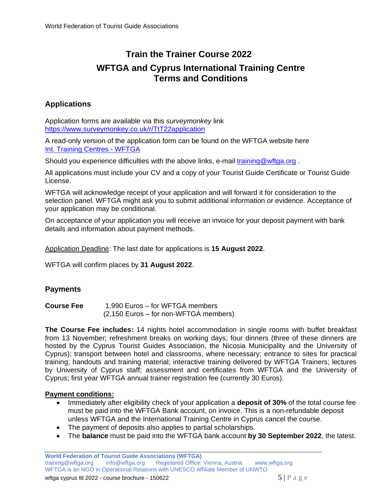## **Train the Trainer Course 2022 WFTGA and Cyprus International Training Centre Terms and Conditions**

#### **Applications**

Application forms are available via this *surveymonkey* link https://www.surveymonkey.co.uk/r/TtT22application

A read-only version of the application form can be found on the WFTGA website here Int. Training Centres - WFTGA

Should you experience difficulties with the above links, e-mail training@wftga.org.

All applications must include your CV and a copy of your Tourist Guide Certificate or Tourist Guide License.

WFTGA will acknowledge receipt of your application and will forward it for consideration to the selection panel. WFTGA might ask you to submit additional information or evidence. Acceptance of your application may be conditional.

On acceptance of your application you will receive an invoice for your deposit payment with bank details and information about payment methods.

Application Deadline: The last date for applications is **15 August 2022**.

WFTGA will confirm places by **31 August 2022**.

#### **Payments**

**Course Fee** 1,990 Euros – for WFTGA members (2,150 Euros – for non-WFTGA members)

**The Course Fee includes:** 14 nights hotel accommodation in single rooms with buffet breakfast from 13 November; refreshment breaks on working days; four dinners (three of these dinners are hosted by the Cyprus Tourist Guides Association, the Nicosia Municipality and the University of Cyprus); transport between hotel and classrooms, where necessary; entrance to sites for practical training; handouts and training material; interactive training delivered by WFTGA Trainers; lectures by University of Cyprus staff; assessment and certificates from WFTGA and the University of Cyprus; first year WFTGA annual trainer registration fee (currently 30 Euros).

#### **Payment conditions:**

- Immediately after eligibility check of your application a **deposit of 30%** of the total course fee must be paid into the WFTGA Bank account, on invoice. This is a non-refundable deposit unless WFTGA and the International Training Centre in Cyprus cancel the course.
- The payment of deposits also applies to partial scholarships.
- The **balance** must be paid into the WFTGA bank account **by 30 September 2022**, the latest.